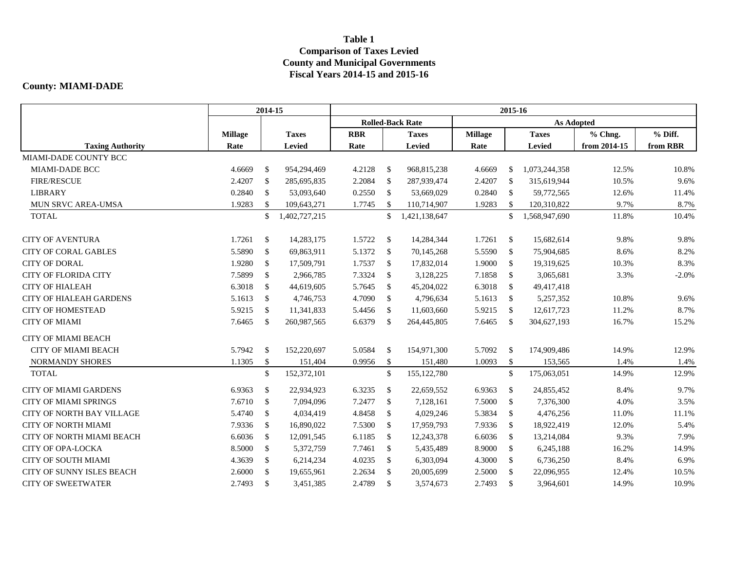## **Table 1 Comparison of Taxes Levied County and Municipal Governments Fiscal Years 2014-15 and 2015-16**

## **County: MIAMI-DADE**

|                                  | 2014-15        |               |               | 2015-16    |               |                         |                |               |               |              |          |  |  |
|----------------------------------|----------------|---------------|---------------|------------|---------------|-------------------------|----------------|---------------|---------------|--------------|----------|--|--|
|                                  |                |               |               |            |               | <b>Rolled-Back Rate</b> |                |               |               |              |          |  |  |
|                                  | <b>Millage</b> |               | <b>Taxes</b>  | <b>RBR</b> |               | <b>Taxes</b>            | <b>Millage</b> |               | <b>Taxes</b>  | % Chng.      | % Diff.  |  |  |
| <b>Taxing Authority</b>          | Rate           |               | Levied        | Rate       |               | Levied                  | Rate           |               | Levied        | from 2014-15 | from RBR |  |  |
| MIAMI-DADE COUNTY BCC            |                |               |               |            |               |                         |                |               |               |              |          |  |  |
| <b>MIAMI-DADE BCC</b>            | 4.6669         | \$            | 954,294,469   | 4.2128     | - \$          | 968,815,238             | 4.6669         | <sup>\$</sup> | 1,073,244,358 | 12.5%        | 10.8%    |  |  |
| <b>FIRE/RESCUE</b>               | 2.4207         | $\mathbb{S}$  | 285,695,835   | 2.2084     | $\mathcal{S}$ | 287,939,474             | 2.4207         | $\mathbb{S}$  | 315,619,944   | 10.5%        | 9.6%     |  |  |
| <b>LIBRARY</b>                   | 0.2840         | $\mathbb{S}$  | 53,093,640    | 0.2550     | $\mathcal{S}$ | 53,669,029              | 0.2840         | $\mathbb{S}$  | 59,772,565    | 12.6%        | 11.4%    |  |  |
| MUN SRVC AREA-UMSA               | 1.9283         | $\mathbb{S}$  | 109,643,271   | 1.7745     | <sup>\$</sup> | 110,714,907             | 1.9283         | $\mathbb{S}$  | 120,310,822   | 9.7%         | 8.7%     |  |  |
| <b>TOTAL</b>                     |                | \$            | 1,402,727,215 |            | \$            | 1,421,138,647           |                | \$            | 1,568,947,690 | 11.8%        | 10.4%    |  |  |
| <b>CITY OF AVENTURA</b>          | 1.7261         | $\mathbb{S}$  | 14,283,175    | 1.5722     | $\mathcal{S}$ | 14,284,344              | 1.7261         | $\mathbb{S}$  | 15,682,614    | 9.8%         | 9.8%     |  |  |
| <b>CITY OF CORAL GABLES</b>      | 5.5890         | $\mathbb{S}$  | 69,863,911    | 5.1372     | - \$          | 70,145,268              | 5.5590         | $\mathbb{S}$  | 75,904,685    | 8.6%         | 8.2%     |  |  |
| <b>CITY OF DORAL</b>             | 1.9280         | $\mathbb{S}$  | 17,509,791    | 1.7537     | <sup>\$</sup> | 17,832,014              | 1.9000         | $\mathbb{S}$  | 19,319,625    | 10.3%        | 8.3%     |  |  |
| <b>CITY OF FLORIDA CITY</b>      | 7.5899         | $\mathbb{S}$  | 2,966,785     | 7.3324     | $\mathcal{S}$ | 3,128,225               | 7.1858         | $\mathbb{S}$  | 3,065,681     | 3.3%         | $-2.0%$  |  |  |
| <b>CITY OF HIALEAH</b>           | 6.3018         | \$            | 44,619,605    | 5.7645     | \$            | 45,204,022              | 6.3018         | $\mathbb{S}$  | 49,417,418    |              |          |  |  |
| <b>CITY OF HIALEAH GARDENS</b>   | 5.1613         | $\mathbb{S}$  | 4,746,753     | 4.7090     | - \$          | 4,796,634               | 5.1613         | $\mathbb{S}$  | 5,257,352     | 10.8%        | 9.6%     |  |  |
| <b>CITY OF HOMESTEAD</b>         | 5.9215         | $\mathbb{S}$  | 11,341,833    | 5.4456     | $\mathcal{S}$ | 11,603,660              | 5.9215         | $\mathbb{S}$  | 12,617,723    | 11.2%        | 8.7%     |  |  |
| <b>CITY OF MIAMI</b>             | 7.6465         | \$            | 260,987,565   | 6.6379     | \$            | 264,445,805             | 7.6465         | $\mathbb{S}$  | 304,627,193   | 16.7%        | 15.2%    |  |  |
| <b>CITY OF MIAMI BEACH</b>       |                |               |               |            |               |                         |                |               |               |              |          |  |  |
| <b>CITY OF MIAMI BEACH</b>       | 5.7942         | <sup>\$</sup> | 152,220,697   | 5.0584     | - \$          | 154,971,300             | 5.7092         | $\mathbb{S}$  | 174,909,486   | 14.9%        | 12.9%    |  |  |
| NORMANDY SHORES                  | 1.1305         | \$            | 151,404       | 0.9956     | \$            | 151,480                 | 1.0093         | \$            | 153,565       | 1.4%         | 1.4%     |  |  |
| <b>TOTAL</b>                     |                | \$            | 152,372,101   |            | \$            | 155, 122, 780           |                | $\mathbb{S}$  | 175,063,051   | 14.9%        | 12.9%    |  |  |
| <b>CITY OF MIAMI GARDENS</b>     | 6.9363         | $\mathbb{S}$  | 22,934,923    | 6.3235     | $\mathcal{S}$ | 22,659,552              | 6.9363         | $\mathbb{S}$  | 24,855,452    | 8.4%         | 9.7%     |  |  |
| <b>CITY OF MIAMI SPRINGS</b>     | 7.6710         | $\mathbb{S}$  | 7,094,096     | 7.2477     | $\mathcal{S}$ | 7,128,161               | 7.5000         | $\mathbb{S}$  | 7,376,300     | 4.0%         | 3.5%     |  |  |
| <b>CITY OF NORTH BAY VILLAGE</b> | 5.4740         | \$            | 4,034,419     | 4.8458     | $\mathcal{S}$ | 4,029,246               | 5.3834         | $\mathbb{S}$  | 4,476,256     | 11.0%        | 11.1%    |  |  |
| <b>CITY OF NORTH MIAMI</b>       | 7.9336         | $\mathbb{S}$  | 16,890,022    | 7.5300     | $\mathcal{S}$ | 17,959,793              | 7.9336         | $\mathbb{S}$  | 18,922,419    | 12.0%        | 5.4%     |  |  |
| CITY OF NORTH MIAMI BEACH        | 6.6036         | \$            | 12,091,545    | 6.1185     | \$            | 12,243,378              | 6.6036         | $\mathbb{S}$  | 13,214,084    | 9.3%         | 7.9%     |  |  |
| <b>CITY OF OPA-LOCKA</b>         | 8.5000         | $\mathbb{S}$  | 5,372,759     | 7.7461     | $\mathcal{S}$ | 5,435,489               | 8.9000         | $\mathbb{S}$  | 6,245,188     | 16.2%        | 14.9%    |  |  |
| <b>CITY OF SOUTH MIAMI</b>       | 4.3639         | $\mathbb{S}$  | 6,214,234     | 4.0235     | $\mathbb{S}$  | 6,303,094               | 4.3000         | $\mathbb{S}$  | 6,736,250     | 8.4%         | 6.9%     |  |  |
| <b>CITY OF SUNNY ISLES BEACH</b> | 2.6000         | $\mathbb{S}$  | 19,655,961    | 2.2634     | <sup>\$</sup> | 20,005,699              | 2.5000         | $\mathbb{S}$  | 22,096,955    | 12.4%        | 10.5%    |  |  |
| <b>CITY OF SWEETWATER</b>        | 2.7493         | $\mathbb{S}$  | 3,451,385     | 2.4789     | $\mathbb{S}$  | 3,574,673               | 2.7493         | $\mathbb{S}$  | 3,964,601     | 14.9%        | 10.9%    |  |  |